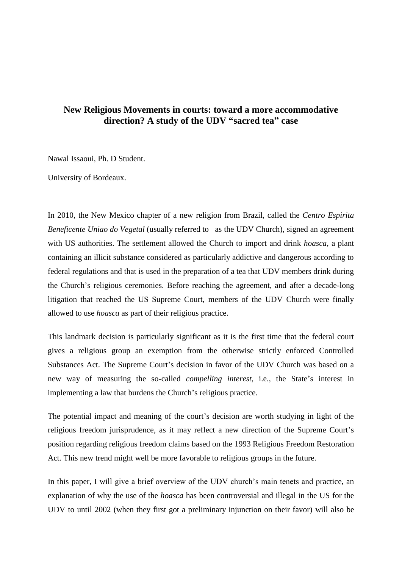# **New Religious Movements in courts: toward a more accommodative direction? A study of the UDV "sacred tea" case**

Nawal Issaoui, Ph. D Student.

University of Bordeaux.

In 2010, the New Mexico chapter of a new religion from Brazil, called the *Centro Espirita Beneficente Uniao do Vegetal* (usually referred to as the UDV Church), signed an agreement with US authorities. The settlement allowed the Church to import and drink *hoasca*, a plant containing an illicit substance considered as particularly addictive and dangerous according to federal regulations and that is used in the preparation of a tea that UDV members drink during the Church's religious ceremonies. Before reaching the agreement, and after a decade-long litigation that reached the US Supreme Court, members of the UDV Church were finally allowed to use *hoasca* as part of their religious practice.

This landmark decision is particularly significant as it is the first time that the federal court gives a religious group an exemption from the otherwise strictly enforced Controlled Substances Act. The Supreme Court's decision in favor of the UDV Church was based on a new way of measuring the so-called *compelling interest*, i.e., the State's interest in implementing a law that burdens the Church's religious practice.

The potential impact and meaning of the court's decision are worth studying in light of the religious freedom jurisprudence, as it may reflect a new direction of the Supreme Court's position regarding religious freedom claims based on the 1993 Religious Freedom Restoration Act. This new trend might well be more favorable to religious groups in the future.

In this paper, I will give a brief overview of the UDV church's main tenets and practice, an explanation of why the use of the *hoasca* has been controversial and illegal in the US for the UDV to until 2002 (when they first got a preliminary injunction on their favor) will also be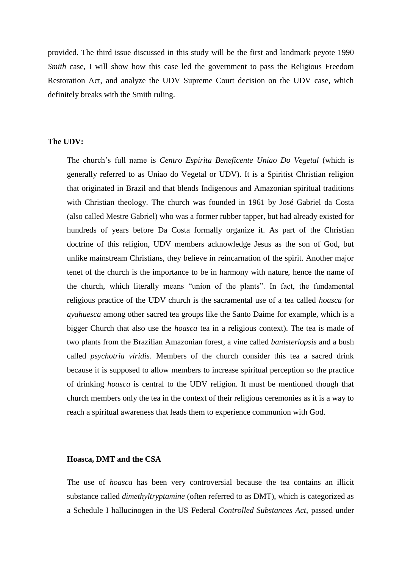provided. The third issue discussed in this study will be the first and landmark peyote 1990 *Smith* case, I will show how this case led the government to pass the Religious Freedom Restoration Act, and analyze the UDV Supreme Court decision on the UDV case, which definitely breaks with the Smith ruling.

### **The UDV:**

The church's full name is *Centro Espirita Beneficente Uniao Do Vegetal* (which is generally referred to as Uniao do Vegetal or UDV). It is a Spiritist Christian religion that originated in Brazil and that blends Indigenous and Amazonian spiritual traditions with Christian theology. The church was founded in 1961 by José Gabriel da Costa (also called Mestre Gabriel) who was a former rubber tapper, but had already existed for hundreds of years before Da Costa formally organize it. As part of the Christian doctrine of this religion, UDV members acknowledge Jesus as the son of God, but unlike mainstream Christians, they believe in reincarnation of the spirit. Another major tenet of the church is the importance to be in harmony with nature, hence the name of the church, which literally means "union of the plants". In fact, the fundamental religious practice of the UDV church is the sacramental use of a tea called *hoasca* (or *ayahuesca* among other sacred tea groups like the Santo Daime for example, which is a bigger Church that also use the *hoasca* tea in a religious context). The tea is made of two plants from the Brazilian Amazonian forest, a vine called *banisteriopsis* and a bush called *psychotria viridis*. Members of the church consider this tea a sacred drink because it is supposed to allow members to increase spiritual perception so the practice of drinking *hoasca* is central to the UDV religion. It must be mentioned though that church members only the tea in the context of their religious ceremonies as it is a way to reach a spiritual awareness that leads them to experience communion with God.

#### **Hoasca, DMT and the CSA**

The use of *hoasca* has been very controversial because the tea contains an illicit substance called *dimethyltryptamine* (often referred to as DMT), which is categorized as a Schedule I hallucinogen in the US Federal *Controlled Substances Act*, passed under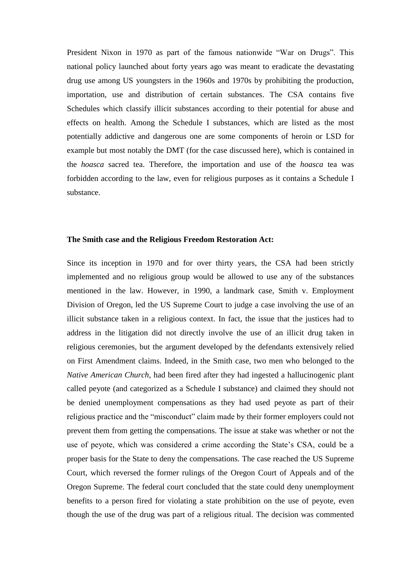President Nixon in 1970 as part of the famous nationwide "War on Drugs". This national policy launched about forty years ago was meant to eradicate the devastating drug use among US youngsters in the 1960s and 1970s by prohibiting the production, importation, use and distribution of certain substances. The CSA contains five Schedules which classify illicit substances according to their potential for abuse and effects on health. Among the Schedule I substances, which are listed as the most potentially addictive and dangerous one are some components of heroin or LSD for example but most notably the DMT (for the case discussed here), which is contained in the *hoasca* sacred tea. Therefore, the importation and use of the *hoasca* tea was forbidden according to the law, even for religious purposes as it contains a Schedule I substance.

#### **The Smith case and the Religious Freedom Restoration Act:**

Since its inception in 1970 and for over thirty years, the CSA had been strictly implemented and no religious group would be allowed to use any of the substances mentioned in the law. However, in 1990, a landmark case, Smith v. Employment Division of Oregon, led the US Supreme Court to judge a case involving the use of an illicit substance taken in a religious context. In fact, the issue that the justices had to address in the litigation did not directly involve the use of an illicit drug taken in religious ceremonies, but the argument developed by the defendants extensively relied on First Amendment claims. Indeed, in the Smith case, two men who belonged to the *Native American Church*, had been fired after they had ingested a hallucinogenic plant called peyote (and categorized as a Schedule I substance) and claimed they should not be denied unemployment compensations as they had used peyote as part of their religious practice and the "misconduct" claim made by their former employers could not prevent them from getting the compensations. The issue at stake was whether or not the use of peyote, which was considered a crime according the State's CSA, could be a proper basis for the State to deny the compensations. The case reached the US Supreme Court, which reversed the former rulings of the Oregon Court of Appeals and of the Oregon Supreme. The federal court concluded that the state could deny unemployment benefits to a person fired for violating a state prohibition on the use of peyote, even though the use of the drug was part of a religious ritual. The decision was commented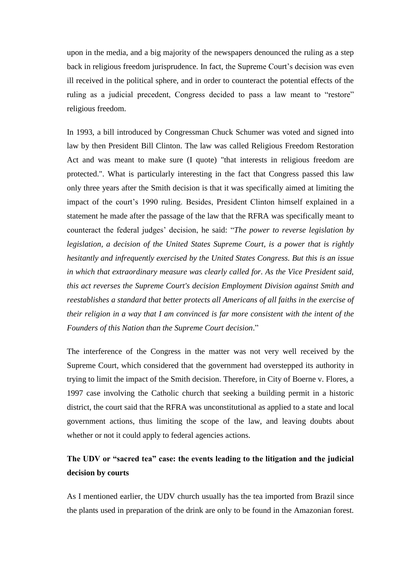upon in the media, and a big majority of the newspapers denounced the ruling as a step back in religious freedom jurisprudence. In fact, the Supreme Court's decision was even ill received in the political sphere, and in order to counteract the potential effects of the ruling as a judicial precedent, Congress decided to pass a law meant to "restore" religious freedom.

In 1993, a bill introduced by Congressman Chuck Schumer was voted and signed into law by then President Bill Clinton. The law was called Religious Freedom Restoration Act and was meant to make sure (I quote) "that interests in religious freedom are protected.". What is particularly interesting in the fact that Congress passed this law only three years after the Smith decision is that it was specifically aimed at limiting the impact of the court's 1990 ruling. Besides, President Clinton himself explained in a statement he made after the passage of the law that the RFRA was specifically meant to counteract the federal judges' decision, he said: "*The power to reverse legislation by legislation, a decision of the United States Supreme Court, is a power that is rightly hesitantly and infrequently exercised by the United States Congress. But this is an issue in which that extraordinary measure was clearly called for. As the Vice President said, this act reverses the Supreme Court's decision Employment Division against Smith and reestablishes a standard that better protects all Americans of all faiths in the exercise of their religion in a way that I am convinced is far more consistent with the intent of the Founders of this Nation than the Supreme Court decision*."

The interference of the Congress in the matter was not very well received by the Supreme Court, which considered that the government had overstepped its authority in trying to limit the impact of the Smith decision. Therefore, in City of Boerne v. Flores, a 1997 case involving the Catholic church that seeking a building permit in a historic district, the court said that the RFRA was unconstitutional as applied to a state and local government actions, thus limiting the scope of the law, and leaving doubts about whether or not it could apply to federal agencies actions.

# **The UDV or "sacred tea" case: the events leading to the litigation and the judicial decision by courts**

As I mentioned earlier, the UDV church usually has the tea imported from Brazil since the plants used in preparation of the drink are only to be found in the Amazonian forest.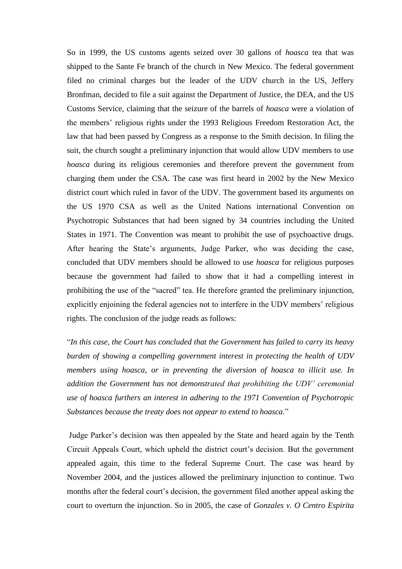So in 1999, the US customs agents seized over 30 gallons of *hoasca* tea that was shipped to the Sante Fe branch of the church in New Mexico. The federal government filed no criminal charges but the leader of the UDV church in the US, Jeffery Bronfman, decided to file a suit against the Department of Justice, the DEA, and the US Customs Service, claiming that the seizure of the barrels of *hoasca* were a violation of the members' religious rights under the 1993 Religious Freedom Restoration Act, the law that had been passed by Congress as a response to the Smith decision. In filing the suit, the church sought a preliminary injunction that would allow UDV members to use *hoasca* during its religious ceremonies and therefore prevent the government from charging them under the CSA. The case was first heard in 2002 by the New Mexico district court which ruled in favor of the UDV. The government based its arguments on the US 1970 CSA as well as the United Nations international Convention on Psychotropic Substances that had been signed by 34 countries including the United States in 1971. The Convention was meant to prohibit the use of psychoactive drugs. After hearing the State's arguments, Judge Parker, who was deciding the case, concluded that UDV members should be allowed to use *hoasca* for religious purposes because the government had failed to show that it had a compelling interest in prohibiting the use of the "sacred" tea. He therefore granted the preliminary injunction, explicitly enjoining the federal agencies not to interfere in the UDV members' religious rights. The conclusion of the judge reads as follows:

"*In this case, the Court has concluded that the Government has failed to carry its heavy burden of showing a compelling government interest in protecting the health of UDV members using hoasca, or in preventing the diversion of hoasca to illicit use. In addition the Government has not demonstrated that prohibiting the UDV' ceremonial use of hoasca furthers an interest in adhering to the 1971 Convention of Psychotropic Substances because the treaty does not appear to extend to hoasca*."

Judge Parker's decision was then appealed by the State and heard again by the Tenth Circuit Appeals Court, which upheld the district court's decision. But the government appealed again, this time to the federal Supreme Court. The case was heard by November 2004, and the justices allowed the preliminary injunction to continue. Two months after the federal court's decision, the government filed another appeal asking the court to overturn the injunction. So in 2005, the case of *Gonzales v. O Centro Espirita*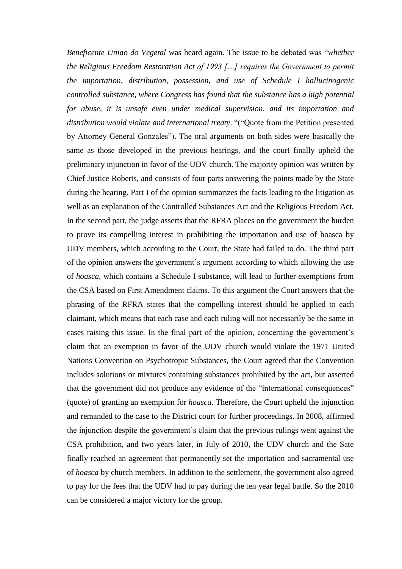*Beneficente Uniao do Vegetal* was heard again. The issue to be debated was "*whether the Religious Freedom Restoration Act of 1993 […] requires the Government to permit the importation, distribution, possession, and use of Schedule I hallucinogenic controlled substance, where Congress has found that the substance has a high potential for abuse, it is unsafe even under medical supervision, and its importation and distribution would violate and international treaty*. "("Quote from the Petition presented by Attorney General Gonzales"). The oral arguments on both sides were basically the same as those developed in the previous hearings, and the court finally upheld the preliminary injunction in favor of the UDV church. The majority opinion was written by Chief Justice Roberts, and consists of four parts answering the points made by the State during the hearing. Part I of the opinion summarizes the facts leading to the litigation as well as an explanation of the Controlled Substances Act and the Religious Freedom Act. In the second part, the judge asserts that the RFRA places on the government the burden to prove its compelling interest in prohibiting the importation and use of hoasca by UDV members, which according to the Court, the State had failed to do. The third part of the opinion answers the government's argument according to which allowing the use of *hoasca*, which contains a Schedule I substance, will lead to further exemptions from the CSA based on First Amendment claims. To this argument the Court answers that the phrasing of the RFRA states that the compelling interest should be applied to each claimant, which means that each case and each ruling will not necessarily be the same in cases raising this issue. In the final part of the opinion, concerning the government's claim that an exemption in favor of the UDV church would violate the 1971 United Nations Convention on Psychotropic Substances, the Court agreed that the Convention includes solutions or mixtures containing substances prohibited by the act, but asserted that the government did not produce any evidence of the "international consequences" (quote) of granting an exemption for *hoasca*. Therefore, the Court upheld the injunction and remanded to the case to the District court for further proceedings. In 2008, affirmed the injunction despite the government's claim that the previous rulings went against the CSA prohibition, and two years later, in July of 2010, the UDV church and the Sate finally reached an agreement that permanently set the importation and sacramental use of *hoasca* by church members. In addition to the settlement, the government also agreed to pay for the fees that the UDV had to pay during the ten year legal battle. So the 2010 can be considered a major victory for the group.